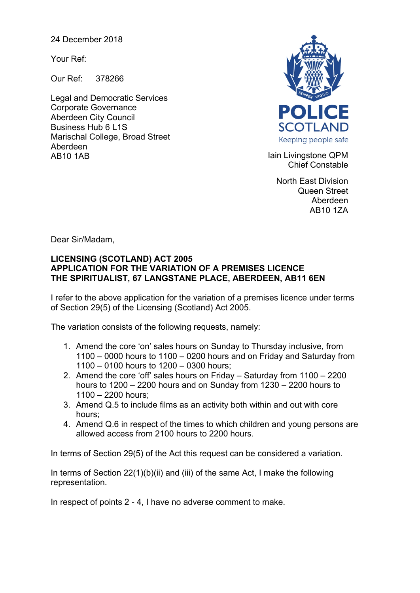24 December 2018

Your Ref:

Our Ref: 378266

Legal and Democratic Services Corporate Governance Aberdeen City Council Business Hub 6 L1S Marischal College, Broad Street Aberdeen AB10 1AB **Iain Livingstone QPM** 



Chief Constable

North East Division Queen Street Aberdeen AB10 1ZA

Dear Sir/Madam,

## **LICENSING (SCOTLAND) ACT 2005 APPLICATION FOR THE VARIATION OF A PREMISES LICENCE THE SPIRITUALIST, 67 LANGSTANE PLACE, ABERDEEN, AB11 6EN**

I refer to the above application for the variation of a premises licence under terms of Section 29(5) of the Licensing (Scotland) Act 2005.

The variation consists of the following requests, namely:

- 1. Amend the core 'on' sales hours on Sunday to Thursday inclusive, from 1100 – 0000 hours to 1100 – 0200 hours and on Friday and Saturday from 1100 – 0100 hours to 1200 – 0300 hours;
- 2. Amend the core 'off' sales hours on Friday Saturday from 1100 2200 hours to 1200 – 2200 hours and on Sunday from 1230 – 2200 hours to 1100 – 2200 hours;
- 3. Amend Q.5 to include films as an activity both within and out with core hours;
- 4. Amend Q.6 in respect of the times to which children and young persons are allowed access from 2100 hours to 2200 hours.

In terms of Section 29(5) of the Act this request can be considered a variation.

In terms of Section 22(1)(b)(ii) and (iii) of the same Act, I make the following representation.

In respect of points 2 - 4, I have no adverse comment to make.